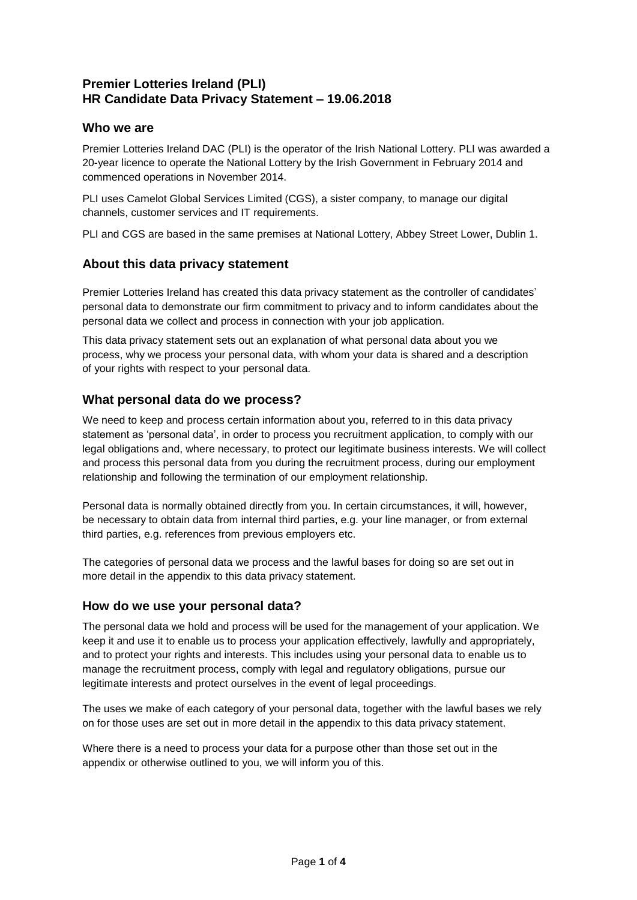## **Premier Lotteries Ireland (PLI) HR Candidate Data Privacy Statement – 19.06.2018**

#### **Who we are**

Premier Lotteries Ireland DAC (PLI) is the operator of the Irish National Lottery. PLI was awarded a 20-year licence to operate the National Lottery by the Irish Government in February 2014 and commenced operations in November 2014.

PLI uses Camelot Global Services Limited (CGS), a sister company, to manage our digital channels, customer services and IT requirements.

PLI and CGS are based in the same premises at National Lottery, Abbey Street Lower, Dublin 1.

#### **About this data privacy statement**

Premier Lotteries Ireland has created this data privacy statement as the controller of candidates' personal data to demonstrate our firm commitment to privacy and to inform candidates about the personal data we collect and process in connection with your job application.

This data privacy statement sets out an explanation of what personal data about you we process, why we process your personal data, with whom your data is shared and a description of your rights with respect to your personal data.

### **What personal data do we process?**

We need to keep and process certain information about you, referred to in this data privacy statement as 'personal data', in order to process you recruitment application, to comply with our legal obligations and, where necessary, to protect our legitimate business interests. We will collect and process this personal data from you during the recruitment process, during our employment relationship and following the termination of our employment relationship.

Personal data is normally obtained directly from you. In certain circumstances, it will, however, be necessary to obtain data from internal third parties, e.g. your line manager, or from external third parties, e.g. references from previous employers etc.

The categories of personal data we process and the lawful bases for doing so are set out in more detail in the appendix to this data privacy statement.

#### **How do we use your personal data?**

The personal data we hold and process will be used for the management of your application. We keep it and use it to enable us to process your application effectively, lawfully and appropriately, and to protect your rights and interests. This includes using your personal data to enable us to manage the recruitment process, comply with legal and regulatory obligations, pursue our legitimate interests and protect ourselves in the event of legal proceedings.

The uses we make of each category of your personal data, together with the lawful bases we rely on for those uses are set out in more detail in the appendix to this data privacy statement.

Where there is a need to process your data for a purpose other than those set out in the appendix or otherwise outlined to you, we will inform you of this.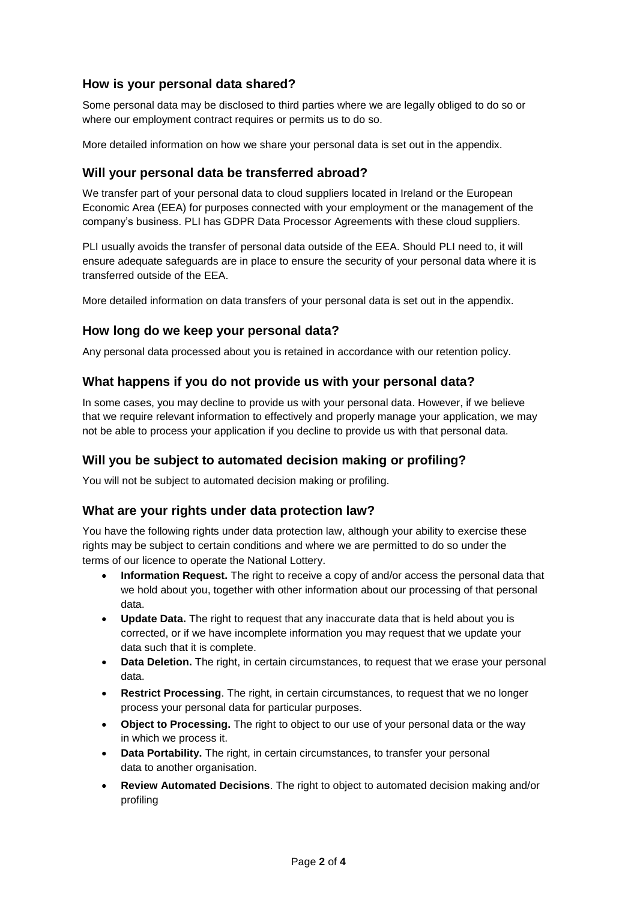## **How is your personal data shared?**

Some personal data may be disclosed to third parties where we are legally obliged to do so or where our employment contract requires or permits us to do so.

More detailed information on how we share your personal data is set out in the appendix.

## **Will your personal data be transferred abroad?**

We transfer part of your personal data to cloud suppliers located in Ireland or the European Economic Area (EEA) for purposes connected with your employment or the management of the company's business. PLI has GDPR Data Processor Agreements with these cloud suppliers.

PLI usually avoids the transfer of personal data outside of the EEA. Should PLI need to, it will ensure adequate safeguards are in place to ensure the security of your personal data where it is transferred outside of the EEA.

More detailed information on data transfers of your personal data is set out in the appendix.

### **How long do we keep your personal data?**

Any personal data processed about you is retained in accordance with our retention policy.

# **What happens if you do not provide us with your personal data?**

In some cases, you may decline to provide us with your personal data. However, if we believe that we require relevant information to effectively and properly manage your application, we may not be able to process your application if you decline to provide us with that personal data.

### **Will you be subject to automated decision making or profiling?**

You will not be subject to automated decision making or profiling.

#### **What are your rights under data protection law?**

You have the following rights under data protection law, although your ability to exercise these rights may be subject to certain conditions and where we are permitted to do so under the terms of our licence to operate the National Lottery.

- **Information Request.** The right to receive a copy of and/or access the personal data that we hold about you, together with other information about our processing of that personal data.
- **Update Data.** The right to request that any inaccurate data that is held about you is corrected, or if we have incomplete information you may request that we update your data such that it is complete.
- **Data Deletion.** The right, in certain circumstances, to request that we erase your personal data.
- **Restrict Processing**. The right, in certain circumstances, to request that we no longer process your personal data for particular purposes.
- **Object to Processing.** The right to object to our use of your personal data or the way in which we process it.
- **Data Portability.** The right, in certain circumstances, to transfer your personal data to another organisation.
- **Review Automated Decisions**. The right to object to automated decision making and/or profiling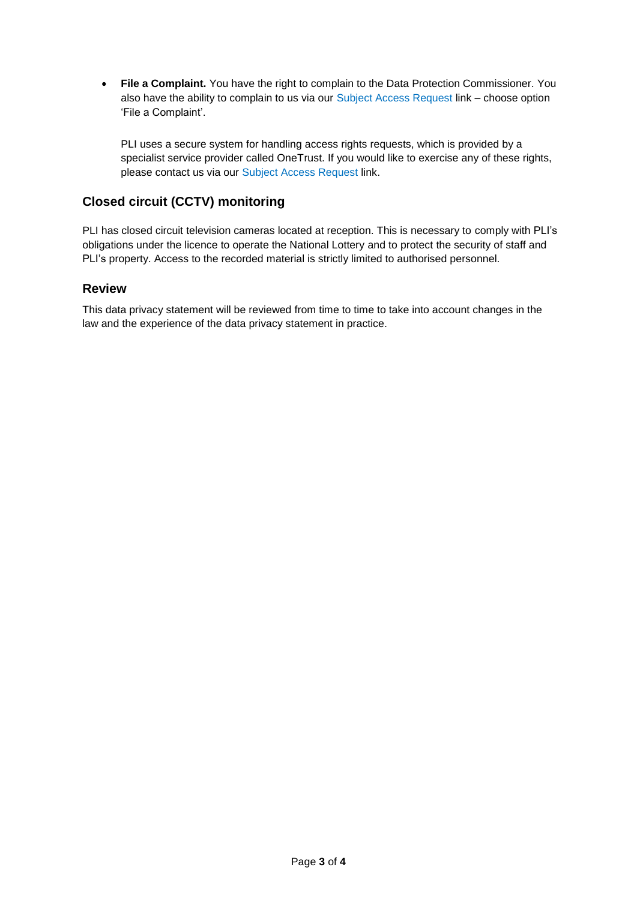**File a Complaint.** You have the right to complain to the Data Protection Commissioner. You also have the ability to complain to us via our Subject Access Request link – choose option 'File a Complaint'.

PLI uses a secure system for handling access rights requests, which is provided by a specialist service provider called OneTrust. If you would like to exercise any of these rights, please contact us via our Subject Access Request link.

## **Closed circuit (CCTV) monitoring**

PLI has closed circuit television cameras located at reception. This is necessary to comply with PLI's obligations under the licence to operate the National Lottery and to protect the security of staff and PLI's property. Access to the recorded material is strictly limited to authorised personnel.

#### **Review**

This data privacy statement will be reviewed from time to time to take into account changes in the law and the experience of the data privacy statement in practice.